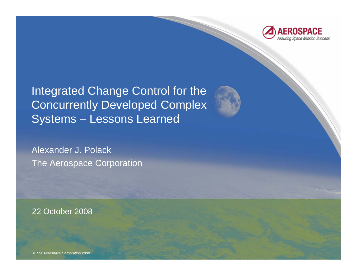

Integrated Change Control for the Concurrently Developed Complex Systems – Lessons Learned

Alexander J. PolackThe Aerospace Corporation

22 October 2008

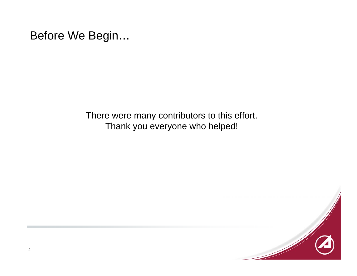There were many contributors to this effort. Thank you everyone who helped!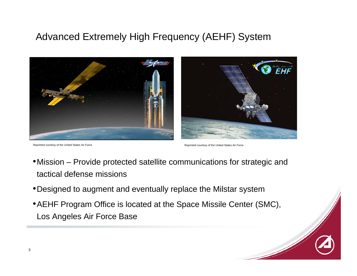#### Advanced Extremely High Frequency (AEHF) System



Reprinted courtesy of the United States Air Force **Reprinted courtesy of the United States Air Force** Reprinted courtesy of the United States Air Force

- •Mission Provide protected satellite communications for strategic and tactical defense missions
- •Designed to augment and eventually replace the Milstar system
- •AEHF Program Office is located at the Space Missile Center (SMC), Los Angeles Air Force Base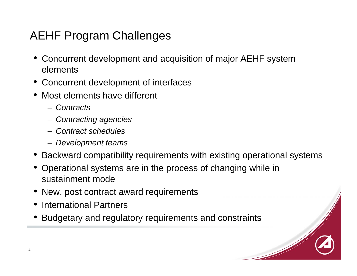# AEHF Program Challenges

- Concurrent development and acquisition of major AEHF system elements
- Concurrent development of interfaces
- Most elements have different
	- *Contracts*
	- *Contracting agencies*
	- *Contract schedules*
	- *Development teams*
- Backward compatibility requirements with existing operational systems
- Operational systems are in the process of changing while in sustainment mode
- New, post contract award requirements
- •International Partners
- •Budgetary and regulatory requirements and constraints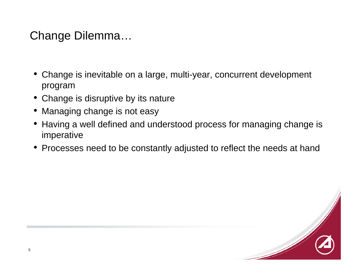# Change Dilemma…

- Change is inevitable on a large, multi-year, concurrent development program
- Change is disruptive by its nature
- •Managing change is not easy
- Having a well defined and understood process for managing change is imperative
- •Processes need to be constantly adjusted to reflect the needs at hand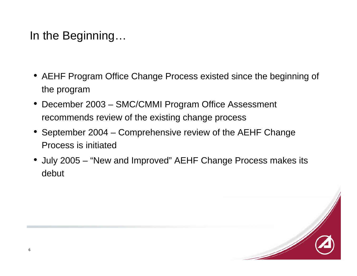# In the Beginning…

- AEHF Program Office Change Process existed since the beginning of the program
- December 2003 SMC/CMMI Program Office Assessment recommends review of the existing change process
- September 2004 Comprehensive review of the AEHF Change Process is initiated
- July 2005 "New and Improved" AEHF Change Process makes its debut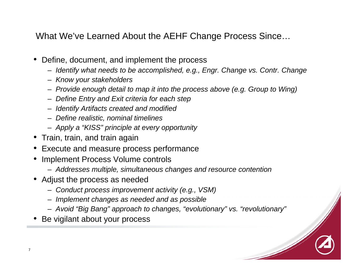What We've Learned About the AEHF Change Process Since…

- • Define, document, and implement the process
	- *Identify what needs to be accomplished, e.g., Engr. Change vs. Contr. Change*
	- *Know your stakeholders*
	- *Provide enough detail to map it into the process above (e.g. Group to Wing)*
	- *Define Entry and Exit criteria for each step*
	- *Identify Artifacts created and modified*
	- *Define realistic, nominal timelines*
	- *Apply a "KISS" principle at every opportunity*
- Train, train, and train again
- •Execute and measure process performance
- • Implement Process Volume controls
	- *Addresses multiple, simultaneous changes and resource contention*
- Adjust the process as needed
	- *Conduct process improvement activity (e.g., VSM)*
	- *Implement changes as needed and as possible*
	- *Avoid "Big Bang" approach to changes, "evolutionary" vs. "revolutionary"*
- •Be vigilant about your process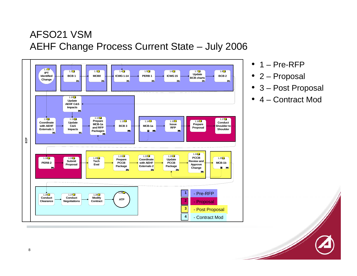#### AFSO21 VSMAEHF Change Process Current State – July 2006



- 1 Pre-RFP
- 2 Proposal
- 3 Post Proposal
- 4 Contract Mod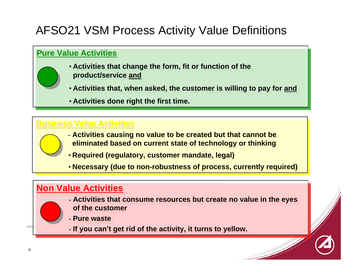# AFSO21 VSM Process Activity Value Definitions

#### **Pure Value ActivitiesPure Value Activities Pure Value Activities**

- **Activities that change the form, fit or function of the Activities that change the form, fit or function of the product/service and product/service and**
- **Activities that, when asked, the customer is willing to pay for and Activities that, when asked, the customer is willing to pay for and**
- **Activities done right the first time. Activities done right the first time.**

#### **<u>Business Value Activities</u>**

- **Activities causing no value to be created but that cannot be Activities causing no value to be created but that cannot be eliminated based on current state of technology or thinking eliminated based on current state of technology or thinking**
- **Required (regulatory, customer mandate, legal) Required (regulatory, customer mandate, legal)**
- **Necessary (due to non-robustness of process, currently required) Necessary (due to non-robustness of process, currently required)**

#### <u>**Non Value Activities**</u>

- **Activities that consume resources but create no value in the eyes Activities that consume resources but create no value in the eyes of the customerof the customer**
- **Pure waste Pure waste**
- **If you can't get rid of the activity, it turns to yellow. If you can't get rid of the activity, it turns to yellow.**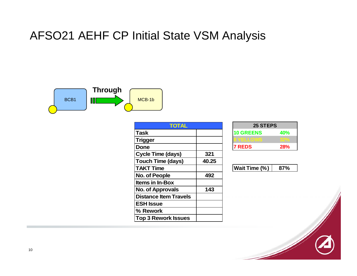## AFSO21 AEHF CP Initial State VSM Analysis



| <b>TOTAL</b>                 |       |
|------------------------------|-------|
| Task                         |       |
| <b>Trigger</b>               |       |
| Done                         |       |
| <b>Cycle Time (days)</b>     | 321   |
| <b>Touch Time (days)</b>     | 40.25 |
| <b>TAKT Time</b>             |       |
| <b>No. of People</b>         | 492   |
| <b>Items in In-Box</b>       |       |
| <b>No. of Approvals</b>      | 143   |
| <b>Distance Item Travels</b> |       |
| <b>ESH Issue</b>             |       |
| % Rework                     |       |
| <b>Top 3 Rework Issues</b>   |       |

| 25 STEPS         |            |  |
|------------------|------------|--|
| <b>10 GREENS</b> | <b>40%</b> |  |
| YELLOWS          |            |  |
| <b>7 REDS</b>    | <b>28%</b> |  |

| <b>Wait Time (%)</b> | 87% |
|----------------------|-----|
|----------------------|-----|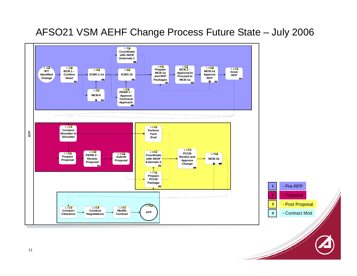#### AFSO21 VSM AEHF Change Process Future State – July 2006





11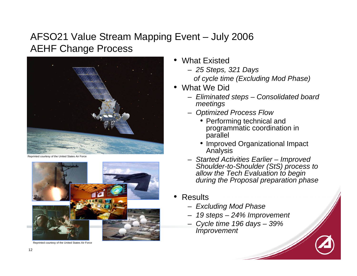#### AFSO21 Value Stream Mapping Event – July 2006 AEHF Change Process



courtesy of the United States Air Force



Reprinted courtesy of the United States Air Force

- • What Existed
	- *25 Steps, 321 Days of cycle time (Excluding Mod Phase)*
- What We Did
	- *Eliminated steps – Consolidated board meetings*
	- *Optimized Process Flow*
		- Performing technical and programmatic coordination in parallel
		- Improved Organizational Impact **Analysis**
	- *Started Activities Earlier – Improved Shoulder-to-Shoulder (StS) process to allow the Tech Evaluation to begin during the Proposal preparation phase*
- • Results
	- *Excluding Mod Phase*
	- *19 steps – 24% Improvement*
	- *Cycle time 196 days – 39% Improvement*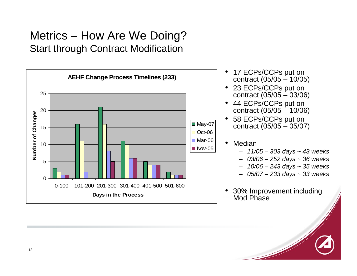### Metrics – How Are We Doing? Start through Contract Modification



- • 17 ECPs/CCPs put on contract (05/05 – 10/05)
- • 23 ECPs/CCPs put on contract (05/05 – 03/06)
- 44 ECPs/CCPs put on contract (05/05 – 10/06)
- • 58 ECPs/CCPs put on contract (05/05 – 05/07)
- • Median
	- *11/05 – 303 days ~ 43 weeks*
	- *03/06 – 252 days ~ 36 weeks*
	- –*10/06 – 243 days ~ 35 weeks*
	- *05/07 – 233 days ~ 33 weeks*
- • 30% Improvement including Mod Phase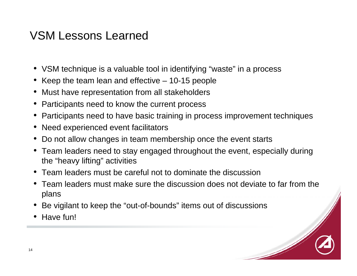## VSM Lessons Learned

- VSM technique is a valuable tool in identifying "waste" in a process
- Keep the team lean and effective 10-15 people
- •Must have representation from all stakeholders
- •Participants need to know the current process
- •Participants need to have basic training in process improvement techniques
- Need experienced event facilitators
- •Do not allow changes in team membership once the event starts
- Team leaders need to stay engaged throughout the event, especially during the "heavy lifting" activities
- Team leaders must be careful not to dominate the discussion
- Team leaders must make sure the discussion does not deviate to far from the plans
- •Be vigilant to keep the "out-of-bounds" items out of discussions
- Have fun!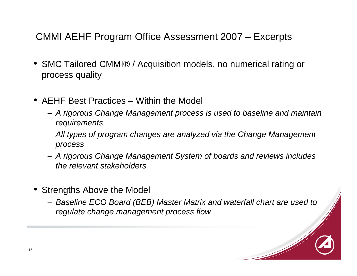#### CMMI AEHF Program Office Assessment 2007 – Excerpts

- SMC Tailored CMMI® / Acquisition models, no numerical rating or process quality
- AEHF Best Practices Within the Model
	- *A rigorous Change Management process is used to baseline and maintain requirements*
	- *All types of program changes are analyzed via the Change Management process*
	- *A rigorous Change Management System of boards and reviews includes the relevant stakeholders*
- Strengths Above the Model
	- *Baseline ECO Board (BEB) Master Matrix and waterfall chart are used to regulate change management process flow*